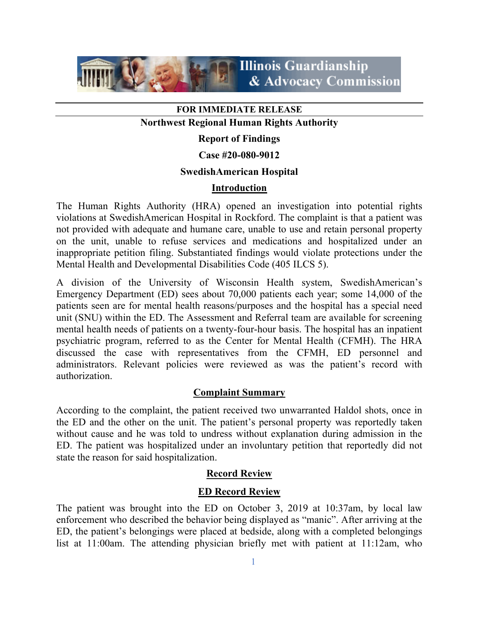

## **FOR IMMEDIATE RELEASE**

## **Northwest Regional Human Rights Authority**

## **Report of Findings**

#### **Case #20-080-9012**

## **SwedishAmerican Hospital**

## **Introduction**

The Human Rights Authority (HRA) opened an investigation into potential rights violations at SwedishAmerican Hospital in Rockford. The complaint is that a patient was not provided with adequate and humane care, unable to use and retain personal property on the unit, unable to refuse services and medications and hospitalized under an inappropriate petition filing. Substantiated findings would violate protections under the Mental Health and Developmental Disabilities Code (405 ILCS 5).

A division of the University of Wisconsin Health system, SwedishAmerican's Emergency Department (ED) sees about 70,000 patients each year; some 14,000 of the patients seen are for mental health reasons/purposes and the hospital has a special need unit (SNU) within the ED. The Assessment and Referral team are available for screening mental health needs of patients on a twenty-four-hour basis. The hospital has an inpatient psychiatric program, referred to as the Center for Mental Health (CFMH). The HRA discussed the case with representatives from the CFMH, ED personnel and administrators. Relevant policies were reviewed as was the patient's record with authorization.

#### **Complaint Summary**

According to the complaint, the patient received two unwarranted Haldol shots, once in the ED and the other on the unit. The patient's personal property was reportedly taken without cause and he was told to undress without explanation during admission in the ED. The patient was hospitalized under an involuntary petition that reportedly did not state the reason for said hospitalization.

## **Record Review**

#### **ED Record Review**

The patient was brought into the ED on October 3, 2019 at 10:37am, by local law enforcement who described the behavior being displayed as "manic". After arriving at the ED, the patient's belongings were placed at bedside, along with a completed belongings list at 11:00am. The attending physician briefly met with patient at 11:12am, who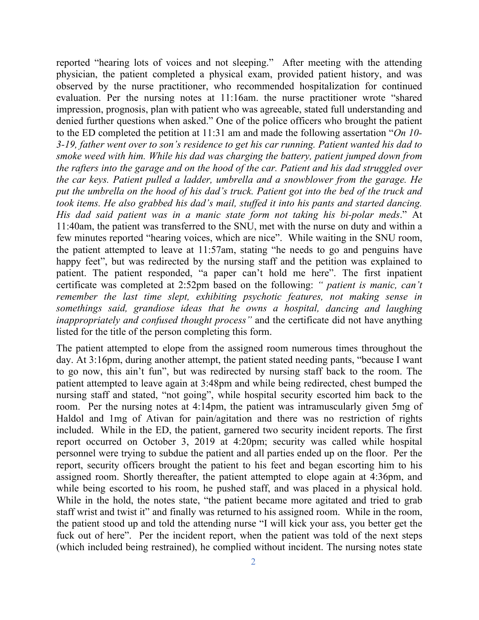reported "hearing lots of voices and not sleeping." After meeting with the attending physician, the patient completed a physical exam, provided patient history, and was observed by the nurse practitioner, who recommended hospitalization for continued evaluation. Per the nursing notes at 11:16am. the nurse practitioner wrote "shared impression, prognosis, plan with patient who was agreeable, stated full understanding and denied further questions when asked." One of the police officers who brought the patient to the ED completed the petition at 11:31 am and made the following assertation "*On 10- 3-19, father went over to son's residence to get his car running. Patient wanted his dad to smoke weed with him. While his dad was charging the battery, patient jumped down from the rafters into the garage and on the hood of the car. Patient and his dad struggled over the car keys. Patient pulled a ladder, umbrella and a snowblower from the garage. He put the umbrella on the hood of his dad's truck. Patient got into the bed of the truck and took items. He also grabbed his dad's mail, stuffed it into his pants and started dancing. His dad said patient was in a manic state form not taking his bi-polar meds*." At 11:40am, the patient was transferred to the SNU, met with the nurse on duty and within a few minutes reported "hearing voices, which are nice". While waiting in the SNU room, the patient attempted to leave at 11:57am, stating "he needs to go and penguins have happy feet", but was redirected by the nursing staff and the petition was explained to patient. The patient responded, "a paper can't hold me here". The first inpatient certificate was completed at 2:52pm based on the following: *" patient is manic, can't remember the last time slept, exhibiting psychotic features, not making sense in somethings said, grandiose ideas that he owns a hospital, dancing and laughing inappropriately and confused thought process"* and the certificate did not have anything listed for the title of the person completing this form.

The patient attempted to elope from the assigned room numerous times throughout the day. At 3:16pm, during another attempt, the patient stated needing pants, "because I want to go now, this ain't fun", but was redirected by nursing staff back to the room. The patient attempted to leave again at 3:48pm and while being redirected, chest bumped the nursing staff and stated, "not going", while hospital security escorted him back to the room. Per the nursing notes at 4:14pm, the patient was intramuscularly given 5mg of Haldol and 1mg of Ativan for pain/agitation and there was no restriction of rights included. While in the ED, the patient, garnered two security incident reports. The first report occurred on October 3, 2019 at 4:20pm; security was called while hospital personnel were trying to subdue the patient and all parties ended up on the floor. Per the report, security officers brought the patient to his feet and began escorting him to his assigned room. Shortly thereafter, the patient attempted to elope again at 4:36pm, and while being escorted to his room, he pushed staff, and was placed in a physical hold. While in the hold, the notes state, "the patient became more agitated and tried to grab staff wrist and twist it" and finally was returned to his assigned room. While in the room, the patient stood up and told the attending nurse "I will kick your ass, you better get the fuck out of here". Per the incident report, when the patient was told of the next steps (which included being restrained), he complied without incident. The nursing notes state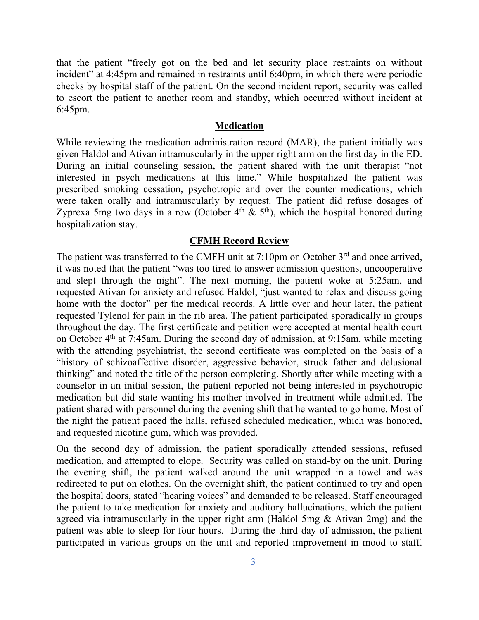that the patient "freely got on the bed and let security place restraints on without incident" at 4:45pm and remained in restraints until 6:40pm, in which there were periodic checks by hospital staff of the patient. On the second incident report, security was called to escort the patient to another room and standby, which occurred without incident at 6:45pm.

#### **Medication**

While reviewing the medication administration record (MAR), the patient initially was given Haldol and Ativan intramuscularly in the upper right arm on the first day in the ED. During an initial counseling session, the patient shared with the unit therapist "not interested in psych medications at this time." While hospitalized the patient was prescribed smoking cessation, psychotropic and over the counter medications, which were taken orally and intramuscularly by request. The patient did refuse dosages of Zyprexa 5mg two days in a row (October  $4<sup>th</sup>$  & 5<sup>th</sup>), which the hospital honored during hospitalization stay.

#### **CFMH Record Review**

The patient was transferred to the CMFH unit at 7:10pm on October 3<sup>rd</sup> and once arrived, it was noted that the patient "was too tired to answer admission questions, uncooperative and slept through the night". The next morning, the patient woke at 5:25am, and requested Ativan for anxiety and refused Haldol, "just wanted to relax and discuss going home with the doctor" per the medical records. A little over and hour later, the patient requested Tylenol for pain in the rib area. The patient participated sporadically in groups throughout the day. The first certificate and petition were accepted at mental health court on October 4<sup>th</sup> at 7:45am. During the second day of admission, at 9:15am, while meeting with the attending psychiatrist, the second certificate was completed on the basis of a "history of schizoaffective disorder, aggressive behavior, struck father and delusional thinking" and noted the title of the person completing. Shortly after while meeting with a counselor in an initial session, the patient reported not being interested in psychotropic medication but did state wanting his mother involved in treatment while admitted. The patient shared with personnel during the evening shift that he wanted to go home. Most of the night the patient paced the halls, refused scheduled medication, which was honored, and requested nicotine gum, which was provided.

On the second day of admission, the patient sporadically attended sessions, refused medication, and attempted to elope. Security was called on stand-by on the unit. During the evening shift, the patient walked around the unit wrapped in a towel and was redirected to put on clothes. On the overnight shift, the patient continued to try and open the hospital doors, stated "hearing voices" and demanded to be released. Staff encouraged the patient to take medication for anxiety and auditory hallucinations, which the patient agreed via intramuscularly in the upper right arm (Haldol 5mg & Ativan 2mg) and the patient was able to sleep for four hours. During the third day of admission, the patient participated in various groups on the unit and reported improvement in mood to staff.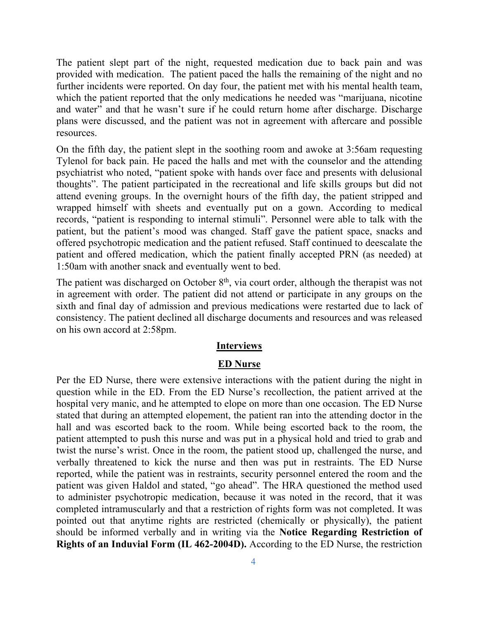The patient slept part of the night, requested medication due to back pain and was provided with medication. The patient paced the halls the remaining of the night and no further incidents were reported. On day four, the patient met with his mental health team, which the patient reported that the only medications he needed was "marijuana, nicotine and water" and that he wasn't sure if he could return home after discharge. Discharge plans were discussed, and the patient was not in agreement with aftercare and possible resources.

On the fifth day, the patient slept in the soothing room and awoke at 3:56am requesting Tylenol for back pain. He paced the halls and met with the counselor and the attending psychiatrist who noted, "patient spoke with hands over face and presents with delusional thoughts". The patient participated in the recreational and life skills groups but did not attend evening groups. In the overnight hours of the fifth day, the patient stripped and wrapped himself with sheets and eventually put on a gown. According to medical records, "patient is responding to internal stimuli". Personnel were able to talk with the patient, but the patient's mood was changed. Staff gave the patient space, snacks and offered psychotropic medication and the patient refused. Staff continued to deescalate the patient and offered medication, which the patient finally accepted PRN (as needed) at 1:50am with another snack and eventually went to bed.

The patient was discharged on October  $8<sup>th</sup>$ , via court order, although the therapist was not in agreement with order. The patient did not attend or participate in any groups on the sixth and final day of admission and previous medications were restarted due to lack of consistency. The patient declined all discharge documents and resources and was released on his own accord at 2:58pm.

#### **Interviews**

#### **ED Nurse**

Per the ED Nurse, there were extensive interactions with the patient during the night in question while in the ED. From the ED Nurse's recollection, the patient arrived at the hospital very manic, and he attempted to elope on more than one occasion. The ED Nurse stated that during an attempted elopement, the patient ran into the attending doctor in the hall and was escorted back to the room. While being escorted back to the room, the patient attempted to push this nurse and was put in a physical hold and tried to grab and twist the nurse's wrist. Once in the room, the patient stood up, challenged the nurse, and verbally threatened to kick the nurse and then was put in restraints. The ED Nurse reported, while the patient was in restraints, security personnel entered the room and the patient was given Haldol and stated, "go ahead". The HRA questioned the method used to administer psychotropic medication, because it was noted in the record, that it was completed intramuscularly and that a restriction of rights form was not completed. It was pointed out that anytime rights are restricted (chemically or physically), the patient should be informed verbally and in writing via the **Notice Regarding Restriction of Rights of an Induvial Form (IL 462-2004D).** According to the ED Nurse, the restriction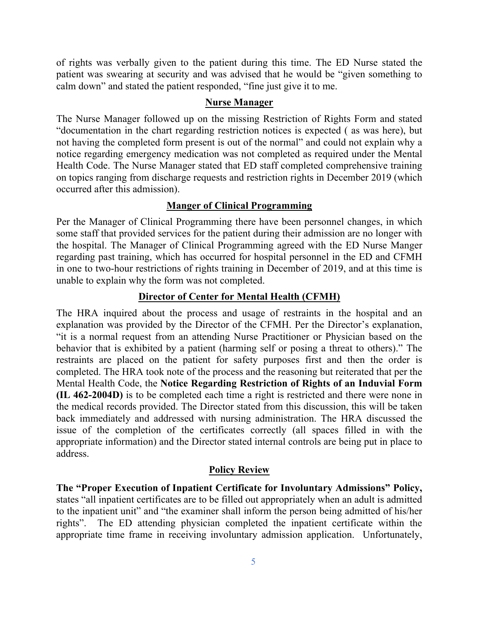of rights was verbally given to the patient during this time. The ED Nurse stated the patient was swearing at security and was advised that he would be "given something to calm down" and stated the patient responded, "fine just give it to me.

#### **Nurse Manager**

The Nurse Manager followed up on the missing Restriction of Rights Form and stated "documentation in the chart regarding restriction notices is expected ( as was here), but not having the completed form present is out of the normal" and could not explain why a notice regarding emergency medication was not completed as required under the Mental Health Code. The Nurse Manager stated that ED staff completed comprehensive training on topics ranging from discharge requests and restriction rights in December 2019 (which occurred after this admission).

#### **Manger of Clinical Programming**

Per the Manager of Clinical Programming there have been personnel changes, in which some staff that provided services for the patient during their admission are no longer with the hospital. The Manager of Clinical Programming agreed with the ED Nurse Manger regarding past training, which has occurred for hospital personnel in the ED and CFMH in one to two-hour restrictions of rights training in December of 2019, and at this time is unable to explain why the form was not completed.

## **Director of Center for Mental Health (CFMH)**

The HRA inquired about the process and usage of restraints in the hospital and an explanation was provided by the Director of the CFMH. Per the Director's explanation, "it is a normal request from an attending Nurse Practitioner or Physician based on the behavior that is exhibited by a patient (harming self or posing a threat to others)." The restraints are placed on the patient for safety purposes first and then the order is completed. The HRA took note of the process and the reasoning but reiterated that per the Mental Health Code, the **Notice Regarding Restriction of Rights of an Induvial Form (IL 462-2004D)** is to be completed each time a right is restricted and there were none in the medical records provided. The Director stated from this discussion, this will be taken back immediately and addressed with nursing administration. The HRA discussed the issue of the completion of the certificates correctly (all spaces filled in with the appropriate information) and the Director stated internal controls are being put in place to address.

#### **Policy Review**

**The "Proper Execution of Inpatient Certificate for Involuntary Admissions" Policy,** states "all inpatient certificates are to be filled out appropriately when an adult is admitted to the inpatient unit" and "the examiner shall inform the person being admitted of his/her rights". The ED attending physician completed the inpatient certificate within the appropriate time frame in receiving involuntary admission application. Unfortunately,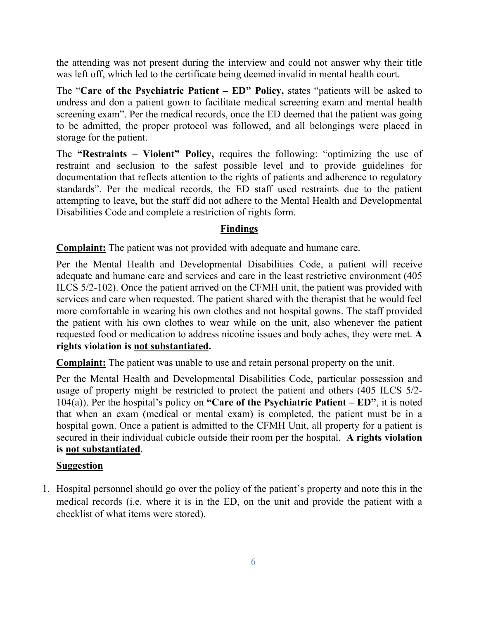the attending was not present during the interview and could not answer why their title was left off, which led to the certificate being deemed invalid in mental health court.

The "**Care of the Psychiatric Patient – ED" Policy,** states "patients will be asked to undress and don a patient gown to facilitate medical screening exam and mental health screening exam". Per the medical records, once the ED deemed that the patient was going to be admitted, the proper protocol was followed, and all belongings were placed in storage for the patient.

The **"Restraints – Violent" Policy,** requires the following: "optimizing the use of restraint and seclusion to the safest possible level and to provide guidelines for documentation that reflects attention to the rights of patients and adherence to regulatory standards". Per the medical records, the ED staff used restraints due to the patient attempting to leave, but the staff did not adhere to the Mental Health and Developmental Disabilities Code and complete a restriction of rights form.

## **Findings**

**Complaint:** The patient was not provided with adequate and humane care.

Per the Mental Health and Developmental Disabilities Code, a patient will receive adequate and humane care and services and care in the least restrictive environment (405 ILCS 5/2-102). Once the patient arrived on the CFMH unit, the patient was provided with services and care when requested. The patient shared with the therapist that he would feel more comfortable in wearing his own clothes and not hospital gowns. The staff provided the patient with his own clothes to wear while on the unit, also whenever the patient requested food or medication to address nicotine issues and body aches, they were met. **A rights violation is not substantiated.** 

**Complaint:** The patient was unable to use and retain personal property on the unit.

Per the Mental Health and Developmental Disabilities Code, particular possession and usage of property might be restricted to protect the patient and others (405 ILCS 5/2- 104(a)). Per the hospital's policy on **"Care of the Psychiatric Patient – ED"**, it is noted that when an exam (medical or mental exam) is completed, the patient must be in a hospital gown. Once a patient is admitted to the CFMH Unit, all property for a patient is secured in their individual cubicle outside their room per the hospital. **A rights violation is not substantiated**.

## **Suggestion**

1. Hospital personnel should go over the policy of the patient's property and note this in the medical records (i.e. where it is in the ED, on the unit and provide the patient with a checklist of what items were stored).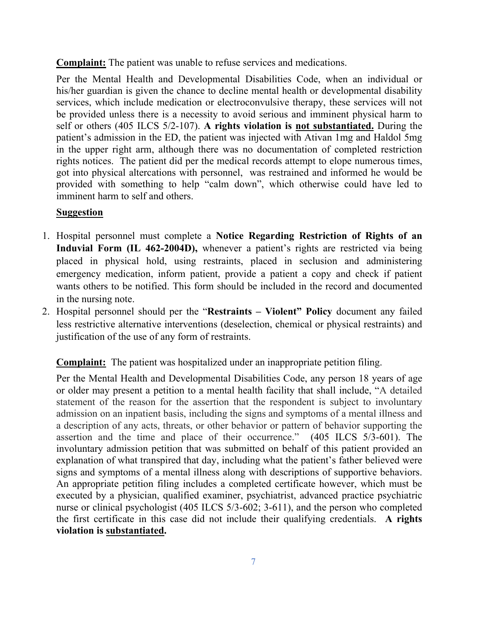**Complaint:** The patient was unable to refuse services and medications.

Per the Mental Health and Developmental Disabilities Code, when an individual or his/her guardian is given the chance to decline mental health or developmental disability services, which include medication or electroconvulsive therapy, these services will not be provided unless there is a necessity to avoid serious and imminent physical harm to self or others (405 ILCS 5/2-107). **A rights violation is not substantiated.** During the patient's admission in the ED, the patient was injected with Ativan 1mg and Haldol 5mg in the upper right arm, although there was no documentation of completed restriction rights notices. The patient did per the medical records attempt to elope numerous times, got into physical altercations with personnel, was restrained and informed he would be provided with something to help "calm down", which otherwise could have led to imminent harm to self and others.

# **Suggestion**

- 1. Hospital personnel must complete a **Notice Regarding Restriction of Rights of an Induvial Form (IL 462-2004D),** whenever a patient's rights are restricted via being placed in physical hold, using restraints, placed in seclusion and administering emergency medication, inform patient, provide a patient a copy and check if patient wants others to be notified. This form should be included in the record and documented in the nursing note.
- 2. Hospital personnel should per the "**Restraints – Violent" Policy** document any failed less restrictive alternative interventions (deselection, chemical or physical restraints) and justification of the use of any form of restraints.

**Complaint:** The patient was hospitalized under an inappropriate petition filing.

Per the Mental Health and Developmental Disabilities Code, any person 18 years of age or older may present a petition to a mental health facility that shall include, "A detailed statement of the reason for the assertion that the respondent is subject to involuntary admission on an inpatient basis, including the signs and symptoms of a mental illness and a description of any acts, threats, or other behavior or pattern of behavior supporting the assertion and the time and place of their occurrence." (405 ILCS 5/3-601). The involuntary admission petition that was submitted on behalf of this patient provided an explanation of what transpired that day, including what the patient's father believed were signs and symptoms of a mental illness along with descriptions of supportive behaviors. An appropriate petition filing includes a completed certificate however, which must be executed by a physician, qualified examiner, psychiatrist, advanced practice psychiatric nurse or clinical psychologist (405 ILCS 5/3-602; 3-611), and the person who completed the first certificate in this case did not include their qualifying credentials. **A rights violation is substantiated.**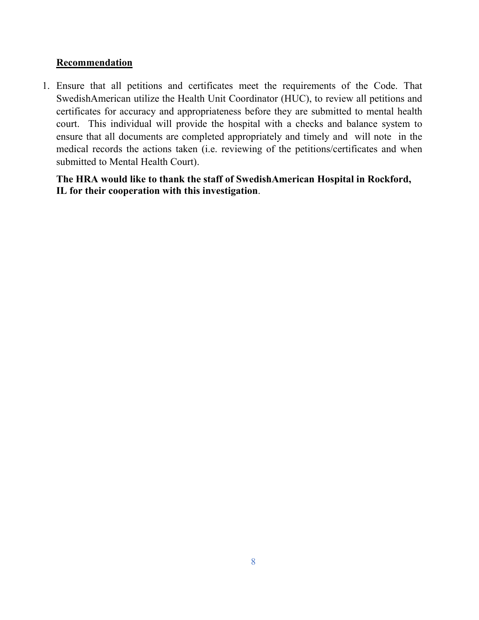## **Recommendation**

1. Ensure that all petitions and certificates meet the requirements of the Code. That SwedishAmerican utilize the Health Unit Coordinator (HUC), to review all petitions and certificates for accuracy and appropriateness before they are submitted to mental health court. This individual will provide the hospital with a checks and balance system to ensure that all documents are completed appropriately and timely and will note in the medical records the actions taken (i.e. reviewing of the petitions/certificates and when submitted to Mental Health Court).

**The HRA would like to thank the staff of SwedishAmerican Hospital in Rockford, IL for their cooperation with this investigation**.